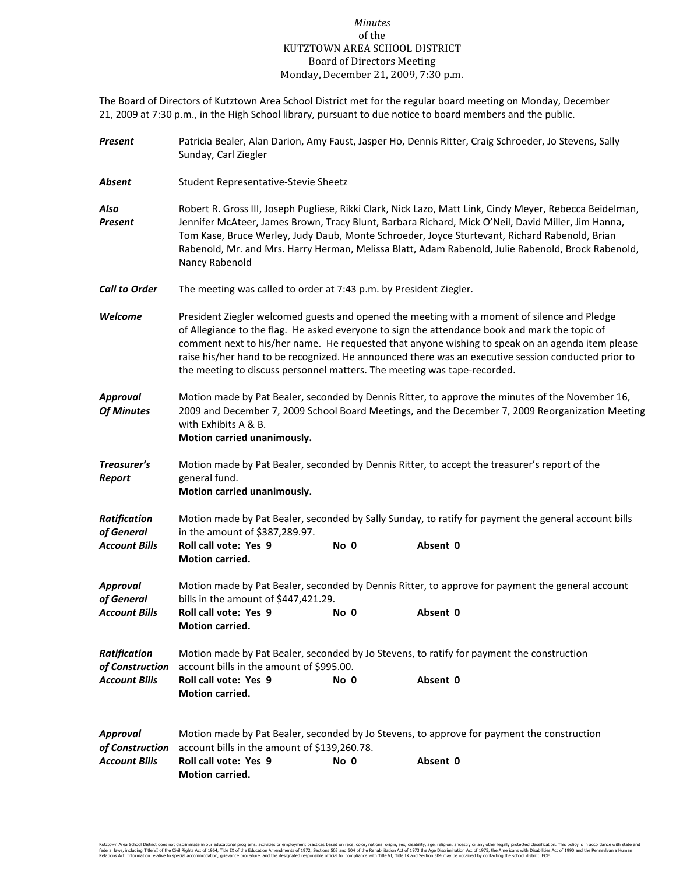## *Minutes* of the KUTZTOWN AREA SCHOOL DISTRICT Board of Directors Meeting Monday, December 21, 2009, 7:30 p.m.

The Board of Directors of Kutztown Area School District met for the regular board meeting on Monday, December 21, 2009 at 7:30 p.m., in the High School library, pursuant to due notice to board members and the public.

| Present                         | Patricia Bealer, Alan Darion, Amy Faust, Jasper Ho, Dennis Ritter, Craig Schroeder, Jo Stevens, Sally<br>Sunday, Carl Ziegler                                                                                                                                                                                                                                                                                                                                                         |      |          |  |  |
|---------------------------------|---------------------------------------------------------------------------------------------------------------------------------------------------------------------------------------------------------------------------------------------------------------------------------------------------------------------------------------------------------------------------------------------------------------------------------------------------------------------------------------|------|----------|--|--|
| Absent                          | Student Representative-Stevie Sheetz                                                                                                                                                                                                                                                                                                                                                                                                                                                  |      |          |  |  |
| Also<br>Present                 | Robert R. Gross III, Joseph Pugliese, Rikki Clark, Nick Lazo, Matt Link, Cindy Meyer, Rebecca Beidelman,<br>Jennifer McAteer, James Brown, Tracy Blunt, Barbara Richard, Mick O'Neil, David Miller, Jim Hanna,<br>Tom Kase, Bruce Werley, Judy Daub, Monte Schroeder, Joyce Sturtevant, Richard Rabenold, Brian<br>Rabenold, Mr. and Mrs. Harry Herman, Melissa Blatt, Adam Rabenold, Julie Rabenold, Brock Rabenold,<br>Nancy Rabenold                                               |      |          |  |  |
| Call to Order                   | The meeting was called to order at 7:43 p.m. by President Ziegler.                                                                                                                                                                                                                                                                                                                                                                                                                    |      |          |  |  |
| Welcome                         | President Ziegler welcomed guests and opened the meeting with a moment of silence and Pledge<br>of Allegiance to the flag. He asked everyone to sign the attendance book and mark the topic of<br>comment next to his/her name. He requested that anyone wishing to speak on an agenda item please<br>raise his/her hand to be recognized. He announced there was an executive session conducted prior to<br>the meeting to discuss personnel matters. The meeting was tape-recorded. |      |          |  |  |
| Approval<br>Of Minutes          | Motion made by Pat Bealer, seconded by Dennis Ritter, to approve the minutes of the November 16,<br>2009 and December 7, 2009 School Board Meetings, and the December 7, 2009 Reorganization Meeting<br>with Exhibits A & B.<br>Motion carried unanimously.                                                                                                                                                                                                                           |      |          |  |  |
| Treasurer's<br>Report           | Motion made by Pat Bealer, seconded by Dennis Ritter, to accept the treasurer's report of the<br>general fund.<br>Motion carried unanimously.                                                                                                                                                                                                                                                                                                                                         |      |          |  |  |
| Ratification<br>of General      | Motion made by Pat Bealer, seconded by Sally Sunday, to ratify for payment the general account bills<br>in the amount of \$387,289.97.                                                                                                                                                                                                                                                                                                                                                |      |          |  |  |
| Account Bills                   | Roll call vote: Yes 9<br>Motion carried.                                                                                                                                                                                                                                                                                                                                                                                                                                              | No 0 | Absent 0 |  |  |
| Approval<br>of General          | Motion made by Pat Bealer, seconded by Dennis Ritter, to approve for payment the general account<br>bills in the amount of \$447,421.29.                                                                                                                                                                                                                                                                                                                                              |      |          |  |  |
| Account Bills                   | Roll call vote: Yes 9<br>Motion carried.                                                                                                                                                                                                                                                                                                                                                                                                                                              | No 0 | Absent 0 |  |  |
| Ratification<br>of Construction | Motion made by Pat Bealer, seconded by Jo Stevens, to ratify for payment the construction<br>account bills in the amount of \$995.00.                                                                                                                                                                                                                                                                                                                                                 |      |          |  |  |
| <b>Account Bills</b>            | Roll call vote: Yes 9<br>Motion carried.                                                                                                                                                                                                                                                                                                                                                                                                                                              | No 0 | Absent 0 |  |  |
| Approval<br>of Construction     | Motion made by Pat Bealer, seconded by Jo Stevens, to approve for payment the construction<br>account bills in the amount of \$139,260.78.                                                                                                                                                                                                                                                                                                                                            |      |          |  |  |
| <b>Account Bills</b>            | <b>Roll call vote: Yes 9</b><br>Motion carried.                                                                                                                                                                                                                                                                                                                                                                                                                                       | No 0 | Absent 0 |  |  |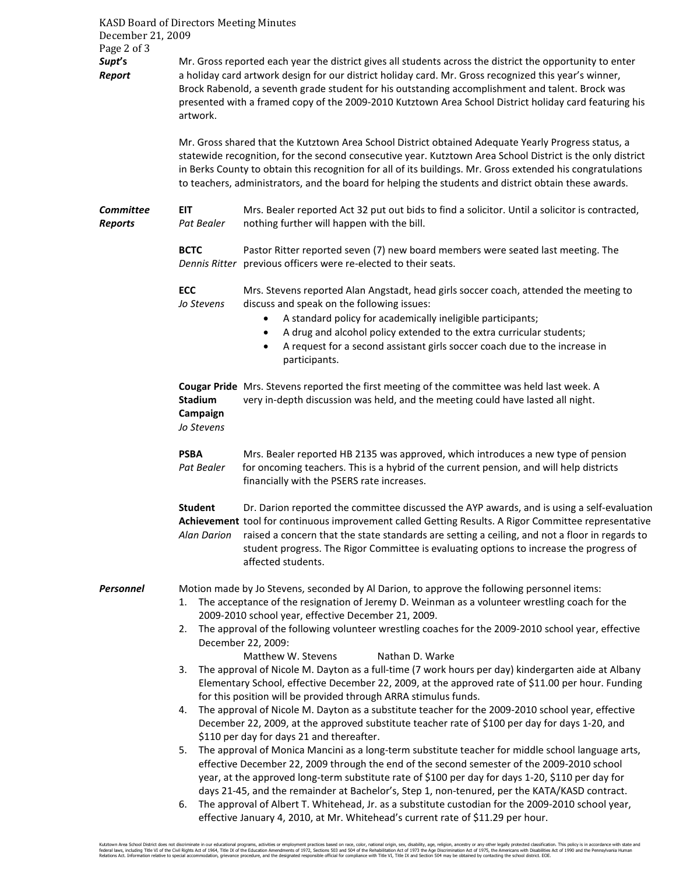| KASD Board of Directors Meeting Minutes<br>December 21, 2009 |                                                                                                                                                                                                                                                                                                                                                                                                                                                                                                                                                                                                                                                                                                                                                                                  |                                                                                                                                                                                                                                                                                                                                                                                                                       |  |  |  |
|--------------------------------------------------------------|----------------------------------------------------------------------------------------------------------------------------------------------------------------------------------------------------------------------------------------------------------------------------------------------------------------------------------------------------------------------------------------------------------------------------------------------------------------------------------------------------------------------------------------------------------------------------------------------------------------------------------------------------------------------------------------------------------------------------------------------------------------------------------|-----------------------------------------------------------------------------------------------------------------------------------------------------------------------------------------------------------------------------------------------------------------------------------------------------------------------------------------------------------------------------------------------------------------------|--|--|--|
| Page 2 of 3                                                  |                                                                                                                                                                                                                                                                                                                                                                                                                                                                                                                                                                                                                                                                                                                                                                                  |                                                                                                                                                                                                                                                                                                                                                                                                                       |  |  |  |
| Supt's<br>Report                                             | Mr. Gross reported each year the district gives all students across the district the opportunity to enter<br>a holiday card artwork design for our district holiday card. Mr. Gross recognized this year's winner,<br>Brock Rabenold, a seventh grade student for his outstanding accomplishment and talent. Brock was<br>presented with a framed copy of the 2009-2010 Kutztown Area School District holiday card featuring his<br>artwork.<br>Mr. Gross shared that the Kutztown Area School District obtained Adequate Yearly Progress status, a<br>statewide recognition, for the second consecutive year. Kutztown Area School District is the only district<br>in Berks County to obtain this recognition for all of its buildings. Mr. Gross extended his congratulations |                                                                                                                                                                                                                                                                                                                                                                                                                       |  |  |  |
|                                                              | to teachers, administrators, and the board for helping the students and district obtain these awards.                                                                                                                                                                                                                                                                                                                                                                                                                                                                                                                                                                                                                                                                            |                                                                                                                                                                                                                                                                                                                                                                                                                       |  |  |  |
| <b>Committee</b><br><b>Reports</b>                           | <b>EIT</b><br>Pat Bealer                                                                                                                                                                                                                                                                                                                                                                                                                                                                                                                                                                                                                                                                                                                                                         | Mrs. Bealer reported Act 32 put out bids to find a solicitor. Until a solicitor is contracted,<br>nothing further will happen with the bill.                                                                                                                                                                                                                                                                          |  |  |  |
|                                                              | <b>BCTC</b>                                                                                                                                                                                                                                                                                                                                                                                                                                                                                                                                                                                                                                                                                                                                                                      | Pastor Ritter reported seven (7) new board members were seated last meeting. The<br>Dennis Ritter previous officers were re-elected to their seats.                                                                                                                                                                                                                                                                   |  |  |  |
|                                                              | <b>ECC</b><br>Jo Stevens                                                                                                                                                                                                                                                                                                                                                                                                                                                                                                                                                                                                                                                                                                                                                         | Mrs. Stevens reported Alan Angstadt, head girls soccer coach, attended the meeting to<br>discuss and speak on the following issues:<br>A standard policy for academically ineligible participants;<br>$\bullet$<br>A drug and alcohol policy extended to the extra curricular students;<br>$\bullet$                                                                                                                  |  |  |  |
|                                                              |                                                                                                                                                                                                                                                                                                                                                                                                                                                                                                                                                                                                                                                                                                                                                                                  | A request for a second assistant girls soccer coach due to the increase in<br>$\bullet$<br>participants.                                                                                                                                                                                                                                                                                                              |  |  |  |
|                                                              | <b>Stadium</b><br>Campaign<br>Jo Stevens                                                                                                                                                                                                                                                                                                                                                                                                                                                                                                                                                                                                                                                                                                                                         | Cougar Pride Mrs. Stevens reported the first meeting of the committee was held last week. A<br>very in-depth discussion was held, and the meeting could have lasted all night.                                                                                                                                                                                                                                        |  |  |  |
| <b>PSBA</b><br>Pat Bealer                                    |                                                                                                                                                                                                                                                                                                                                                                                                                                                                                                                                                                                                                                                                                                                                                                                  | Mrs. Bealer reported HB 2135 was approved, which introduces a new type of pension<br>for oncoming teachers. This is a hybrid of the current pension, and will help districts<br>financially with the PSERS rate increases.                                                                                                                                                                                            |  |  |  |
|                                                              | <b>Student</b><br><b>Alan Darion</b>                                                                                                                                                                                                                                                                                                                                                                                                                                                                                                                                                                                                                                                                                                                                             | Dr. Darion reported the committee discussed the AYP awards, and is using a self-evaluation<br>Achievement tool for continuous improvement called Getting Results. A Rigor Committee representative<br>raised a concern that the state standards are setting a ceiling, and not a floor in regards to<br>student progress. The Rigor Committee is evaluating options to increase the progress of<br>affected students. |  |  |  |
| Personnel                                                    | 1.                                                                                                                                                                                                                                                                                                                                                                                                                                                                                                                                                                                                                                                                                                                                                                               | Motion made by Jo Stevens, seconded by Al Darion, to approve the following personnel items:<br>The acceptance of the resignation of Jeremy D. Weinman as a volunteer wrestling coach for the<br>2009-2010 school year, effective December 21, 2009.                                                                                                                                                                   |  |  |  |
|                                                              | The approval of the following volunteer wrestling coaches for the 2009-2010 school year, effective<br>2.<br>December 22, 2009:<br>Matthew W. Stevens<br>Nathan D. Warke                                                                                                                                                                                                                                                                                                                                                                                                                                                                                                                                                                                                          |                                                                                                                                                                                                                                                                                                                                                                                                                       |  |  |  |
|                                                              | The approval of Nicole M. Dayton as a full-time (7 work hours per day) kindergarten aide at Albany<br>3.<br>Elementary School, effective December 22, 2009, at the approved rate of \$11.00 per hour. Funding<br>for this position will be provided through ARRA stimulus funds.                                                                                                                                                                                                                                                                                                                                                                                                                                                                                                 |                                                                                                                                                                                                                                                                                                                                                                                                                       |  |  |  |
|                                                              | The approval of Nicole M. Dayton as a substitute teacher for the 2009-2010 school year, effective<br>4.<br>December 22, 2009, at the approved substitute teacher rate of \$100 per day for days 1-20, and<br>\$110 per day for days 21 and thereafter.<br>The approval of Monica Mancini as a long-term substitute teacher for middle school language arts,<br>5.<br>effective December 22, 2009 through the end of the second semester of the 2009-2010 school<br>year, at the approved long-term substitute rate of \$100 per day for days 1-20, \$110 per day for<br>days 21-45, and the remainder at Bachelor's, Step 1, non-tenured, per the KATA/KASD contract.                                                                                                            |                                                                                                                                                                                                                                                                                                                                                                                                                       |  |  |  |
|                                                              |                                                                                                                                                                                                                                                                                                                                                                                                                                                                                                                                                                                                                                                                                                                                                                                  |                                                                                                                                                                                                                                                                                                                                                                                                                       |  |  |  |
|                                                              | 6.                                                                                                                                                                                                                                                                                                                                                                                                                                                                                                                                                                                                                                                                                                                                                                               | The approval of Albert T. Whitehead, Jr. as a substitute custodian for the 2009-2010 school year,<br>effective January 4, 2010, at Mr. Whitehead's current rate of \$11.29 per hour.                                                                                                                                                                                                                                  |  |  |  |